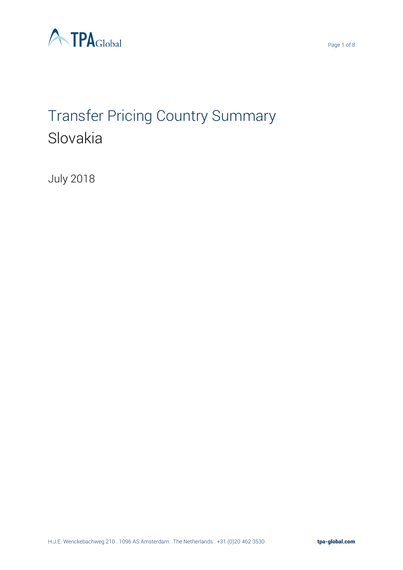

# Transfer Pricing Country Summary Slovakia

July 2018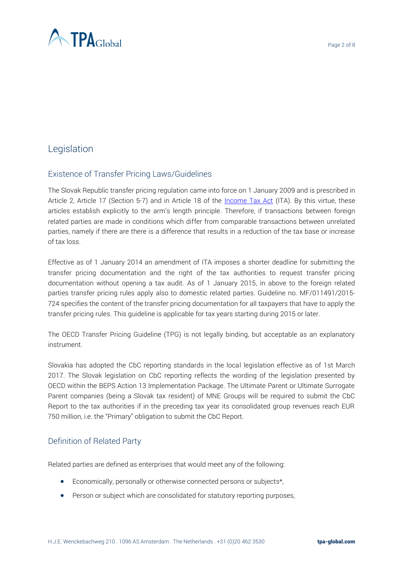

# Legislation

## Existence of Transfer Pricing Laws/Guidelines

The Slovak Republic transfer pricing regulation came into force on 1 January 2009 and is prescribed in Article 2, Article 17 (Section 5-7) and in Article 18 of the [Income Tax Act](http://www.finance.gov.sk/en/Default.aspx?CatID=286) (ITA). By this virtue, these articles establish explicitly to the arm's length principle. Therefore, if transactions between foreign related parties are made in conditions which differ from comparable transactions between unrelated parties, namely if there are there is a difference that results in a reduction of the tax base or increase of tax loss.

Effective as of 1 January 2014 an amendment of ITA imposes a shorter deadline for submitting the transfer pricing documentation and the right of the tax authorities to request transfer pricing documentation without opening a tax audit. As of 1 January 2015, in above to the foreign related parties transfer pricing rules apply also to domestic related parties. Guideline no. MF/011491/2015- 724 specifies the content of the transfer pricing documentation for all taxpayers that have to apply the transfer pricing rules. This guideline is applicable for tax years starting during 2015 or later.

The OECD Transfer Pricing Guideline (TPG) is not legally binding, but acceptable as an explanatory instrument.

Slovakia has adopted the CbC reporting standards in the local legislation effective as of 1st March 2017. The Slovak legislation on CbC reporting reflects the wording of the legislation presented by OECD within the BEPS Action 13 Implementation Package. The Ultimate Parent or Ultimate Surrogate Parent companies (being a Slovak tax resident) of MNE Groups will be required to submit the CbC Report to the tax authorities if in the preceding tax year its consolidated group revenues reach EUR 750 million, i.e. the "Primary" obligation to submit the CbC Report.

# Definition of Related Party

Related parties are defined as enterprises that would meet any of the following:

- Economically, personally or otherwise connected persons or subjects\*,
- Person or subject which are consolidated for statutory reporting purposes,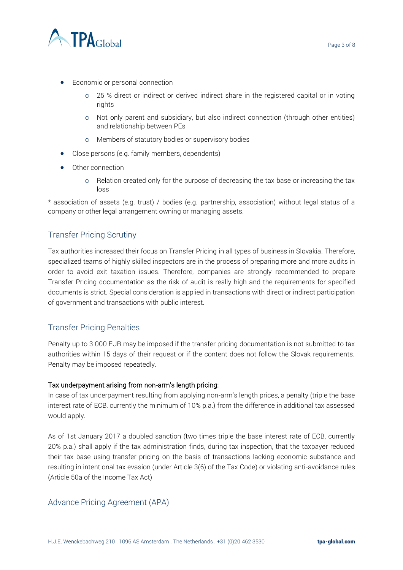

- Economic or personal connection
	- o 25 % direct or indirect or derived indirect share in the registered capital or in voting rights
	- o Not only parent and subsidiary, but also indirect connection (through other entities) and relationship between PEs
	- o Members of statutory bodies or supervisory bodies
- Close persons (e.g. family members, dependents)
- Other connection
	- o Relation created only for the purpose of decreasing the tax base or increasing the tax loss

\* association of assets (e.g. trust) / bodies (e.g. partnership, association) without legal status of a company or other legal arrangement owning or managing assets.

### Transfer Pricing Scrutiny

Tax authorities increased their focus on Transfer Pricing in all types of business in Slovakia. Therefore, specialized teams of highly skilled inspectors are in the process of preparing more and more audits in order to avoid exit taxation issues. Therefore, companies are strongly recommended to prepare Transfer Pricing documentation as the risk of audit is really high and the requirements for specified documents is strict. Special consideration is applied in transactions with direct or indirect participation of government and transactions with public interest.

#### Transfer Pricing Penalties

Penalty up to 3 000 EUR may be imposed if the transfer pricing documentation is not submitted to tax authorities within 15 days of their request or if the content does not follow the Slovak requirements. Penalty may be imposed repeatedly.

#### Tax underpayment arising from non-arm's length pricing:

In case of tax underpayment resulting from applying non-arm's length prices, a penalty (triple the base interest rate of ECB, currently the minimum of 10% p.a.) from the difference in additional tax assessed would apply.

As of 1st January 2017 a doubled sanction (two times triple the base interest rate of ECB, currently 20% p.a.) shall apply if the tax administration finds, during tax inspection, that the taxpayer reduced their tax base using transfer pricing on the basis of transactions lacking economic substance and resulting in intentional tax evasion (under Article 3(6) of the Tax Code) or violating anti-avoidance rules (Article 50a of the Income Tax Act)

#### Advance Pricing Agreement (APA)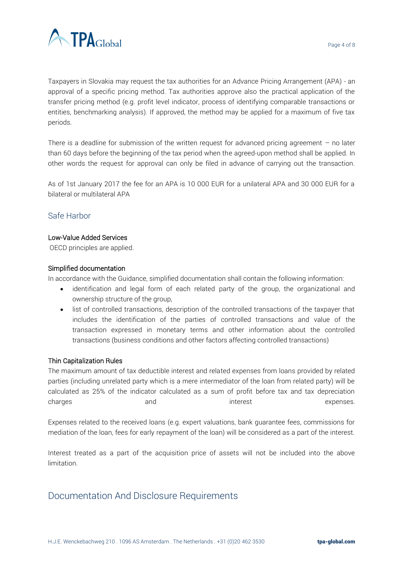

Taxpayers in Slovakia may request the tax authorities for an Advance Pricing Arrangement (APA) - an approval of a specific pricing method. Tax authorities approve also the practical application of the transfer pricing method (e.g. profit level indicator, process of identifying comparable transactions or entities, benchmarking analysis). If approved, the method may be applied for a maximum of five tax periods.

There is a deadline for submission of the written request for advanced pricing agreement  $-$  no later than 60 days before the beginning of the tax period when the agreed-upon method shall be applied. In other words the request for approval can only be filed in advance of carrying out the transaction.

As of 1st January 2017 the fee for an APA is 10 000 EUR for a unilateral APA and 30 000 EUR for a bilateral or multilateral APA

## Safe Harbor

#### Low-Value Added Services

OECD principles are applied.

#### Simplified documentation

In accordance with the Guidance, simplified documentation shall contain the following information:

- identification and legal form of each related party of the group, the organizational and ownership structure of the group,
- list of controlled transactions, description of the controlled transactions of the taxpayer that includes the identification of the parties of controlled transactions and value of the transaction expressed in monetary terms and other information about the controlled transactions (business conditions and other factors affecting controlled transactions)

#### Thin Capitalization Rules

The maximum amount of tax deductible interest and related expenses from loans provided by related parties (including unrelated party which is a mere intermediator of the loan from related party) will be calculated as 25% of the indicator calculated as a sum of profit before tax and tax depreciation charges and interest expenses. The interest expenses expenses interest expenses.

Expenses related to the received loans (e.g. expert valuations, bank guarantee fees, commissions for mediation of the loan, fees for early repayment of the loan) will be considered as a part of the interest.

Interest treated as a part of the acquisition price of assets will not be included into the above limitation.

# Documentation And Disclosure Requirements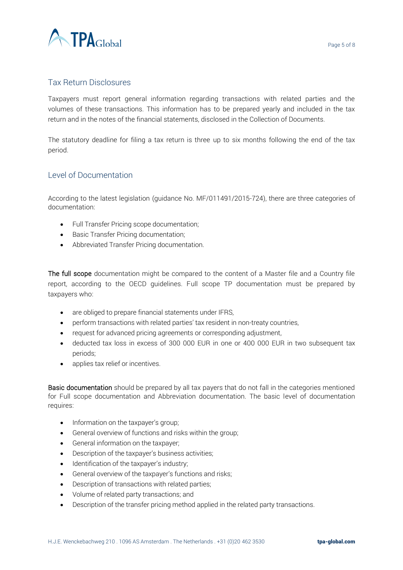

## Tax Return Disclosures

Taxpayers must report general information regarding transactions with related parties and the volumes of these transactions. This information has to be prepared yearly and included in the tax return and in the notes of the financial statements, disclosed in the Collection of Documents.

The statutory deadline for filing a tax return is three up to six months following the end of the tax period.

#### Level of Documentation

According to the latest legislation (guidance No. MF/011491/2015-724), there are three categories of documentation:

- Full Transfer Pricing scope documentation;
- Basic Transfer Pricing documentation;
- Abbreviated Transfer Pricing documentation.

The full scope documentation might be compared to the content of a Master file and a Country file report, according to the OECD guidelines. Full scope TP documentation must be prepared by taxpayers who:

- are obliged to prepare financial statements under IFRS,
- perform transactions with related parties' tax resident in non-treaty countries,
- request for advanced pricing agreements or corresponding adjustment,
- deducted tax loss in excess of 300 000 EUR in one or 400 000 EUR in two subsequent tax periods;
- applies tax relief or incentives.

Basic documentation should be prepared by all tax payers that do not fall in the categories mentioned for Full scope documentation and Abbreviation documentation. The basic level of documentation requires:

- Information on the taxpayer's group;
- General overview of functions and risks within the group;
- General information on the taxpayer;
- Description of the taxpayer's business activities;
- Identification of the taxpayer's industry;
- General overview of the taxpayer's functions and risks;
- Description of transactions with related parties;
- Volume of related party transactions; and
- Description of the transfer pricing method applied in the related party transactions.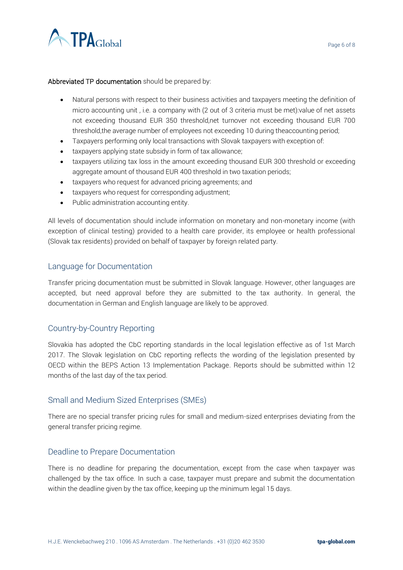

#### Abbreviated TP documentation should be prepared by:

- Natural persons with respect to their business activities and taxpayers meeting the definition of micro accounting unit , i.e. a company with (2 out of 3 criteria must be met):value of net assets not exceeding thousand EUR 350 threshold,net turnover not exceeding thousand EUR 700 threshold,the average number of employees not exceeding 10 during theaccounting period;
- Taxpayers performing only local transactions with Slovak taxpayers with exception of:
- taxpayers applying state subsidy in form of tax allowance;
- taxpayers utilizing tax loss in the amount exceeding thousand EUR 300 threshold or exceeding aggregate amount of thousand EUR 400 threshold in two taxation periods;
- taxpayers who request for advanced pricing agreements; and
- taxpayers who request for corresponding adjustment;
- Public administration accounting entity.

All levels of documentation should include information on monetary and non-monetary income (with exception of clinical testing) provided to a health care provider, its employee or health professional (Slovak tax residents) provided on behalf of taxpayer by foreign related party.

### Language for Documentation

Transfer pricing documentation must be submitted in Slovak language. However, other languages are accepted, but need approval before they are submitted to the tax authority. In general, the documentation in German and English language are likely to be approved.

# Country-by-Country Reporting

Slovakia has adopted the CbC reporting standards in the local legislation effective as of 1st March 2017. The Slovak legislation on CbC reporting reflects the wording of the legislation presented by OECD within the BEPS Action 13 Implementation Package. Reports should be submitted within 12 months of the last day of the tax period.

## Small and Medium Sized Enterprises (SMEs)

There are no special transfer pricing rules for small and medium-sized enterprises deviating from the general transfer pricing regime.

## Deadline to Prepare Documentation

There is no deadline for preparing the documentation, except from the case when taxpayer was challenged by the tax office. In such a case, taxpayer must prepare and submit the documentation within the deadline given by the tax office, keeping up the minimum legal 15 days.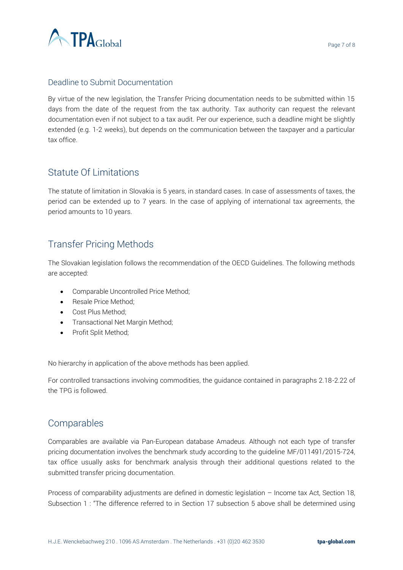

### Deadline to Submit Documentation

By virtue of the new legislation, the Transfer Pricing documentation needs to be submitted within 15 days from the date of the request from the tax authority. Tax authority can request the relevant documentation even if not subject to a tax audit. Per our experience, such a deadline might be slightly extended (e.g. 1-2 weeks), but depends on the communication between the taxpayer and a particular tax office.

# Statute Of Limitations

The statute of limitation in Slovakia is 5 years, in standard cases. In case of assessments of taxes, the period can be extended up to 7 years. In the case of applying of international tax agreements, the period amounts to 10 years.

# Transfer Pricing Methods

The Slovakian legislation follows the recommendation of the OECD Guidelines. The following methods are accepted:

- Comparable Uncontrolled Price Method;
- Resale Price Method:
- Cost Plus Method;
- Transactional Net Margin Method;
- Profit Split Method;

No hierarchy in application of the above methods has been applied.

For controlled transactions involving commodities, the guidance contained in paragraphs 2.18-2.22 of the TPG is followed.

# Comparables

Comparables are available via Pan-European database Amadeus. Although not each type of transfer pricing documentation involves the benchmark study according to the guideline MF/011491/2015-724, tax office usually asks for benchmark analysis through their additional questions related to the submitted transfer pricing documentation.

Process of comparability adjustments are defined in domestic legislation – Income tax Act, Section 18, Subsection 1 : "The difference referred to in Section 17 subsection 5 above shall be determined using